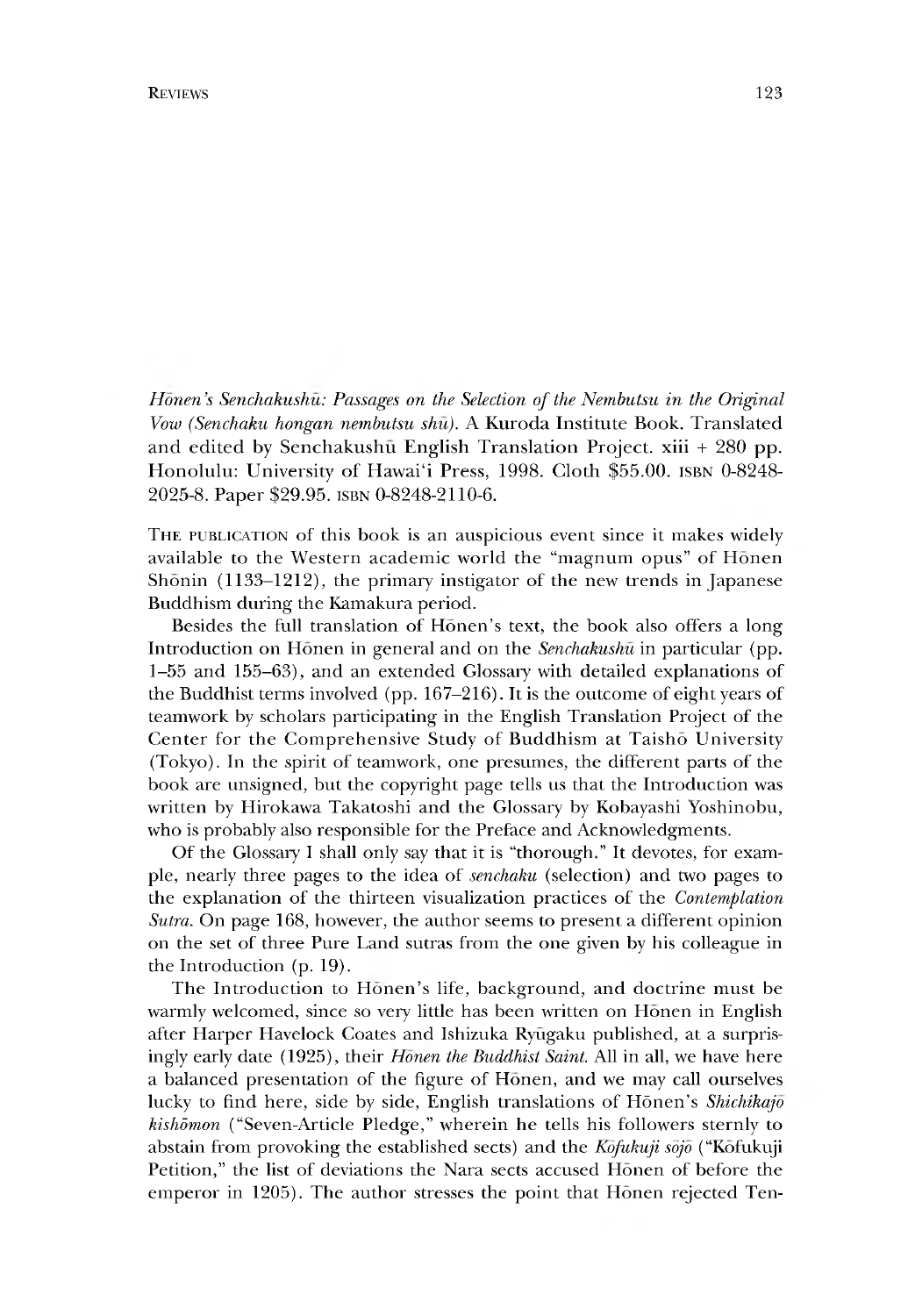*Honen }s Senchakushu: Passages on the Selection of the Nembutsu in the Original Vow (Senchaku hongan nembutsu shu).* A Kuroda Institute Book. Translated and edited by Senchakushu English Translation Project, xiii + 280 pp. Honolulu: University of Hawai'i Press, 1998. Cloth \$55.00. isbn 0-8248- 2025-8. Paper \$29.95. isbn 0-8248-2110-6.

THE PUBLICATION of this book is an auspicious event since it makes widely available to the Western academic world the "magnum opus" of Honen Shonin (1133–1212), the primary instigator of the new trends in Japanese Buddhism during the Kamakura period.

Besides the full translation of Honen's text, the book also offers a long Introduction on Honen in general and on the *Senchakushu* in particular (pp. 1-55 and 155-63), and an extended Glossary with detailed explanations of the Buddhist terms involved (pp. 167-216). It is the outcome of eight years of teamwork by scholars participating in the English Translation Project of the Center for the Comprehensive Study of Buddhism at Taisho University (Tokyo). In the spirit of teamwork, one presumes, the different parts of the book are unsigned, but the copyright page tells us that the Introduction was written by Hirokawa Takatoshi and the Glossary by Kobayashi Yoshinobu, who is probably also responsible for the Preface and Acknowledgments.

Of the Glossary I shall only say that it is "thorough." It devotes, for example, nearly three pages to the idea of *senchaku* (selection) and two pages to the explanation of the thirteen visualization practices of the *Contemplation Sutra*. On page 168, however, the author seems to present a different opinion on the set of three Pure Land sutras from the one given by his colleague in the Introduction (p. 19).

The Introduction to Honen's life, background, and doctrine must be warmly welcomed, since so very little has been written on Honen in English after Harper Havelock Coates and Ishizuka Ryugaku published, at a surprisingly early date (1925), their *Honen the Buddhist Saint.* All in all, we have here a balanced presentation of the figure of Honen, and we may call ourselves lucky to find here, side by side, English translations of Hōnen's *Shichikajō kishdmon* ("Seven-Article Pledge," wherein he tells his followers sternly to abstain from provoking the established sects) and the *Kofukuji sojo* ("Kofukuji Petition," the list of deviations the Nara sects accused Honen of before the emperor in 1205). The author stresses the point that Honen rejected Ten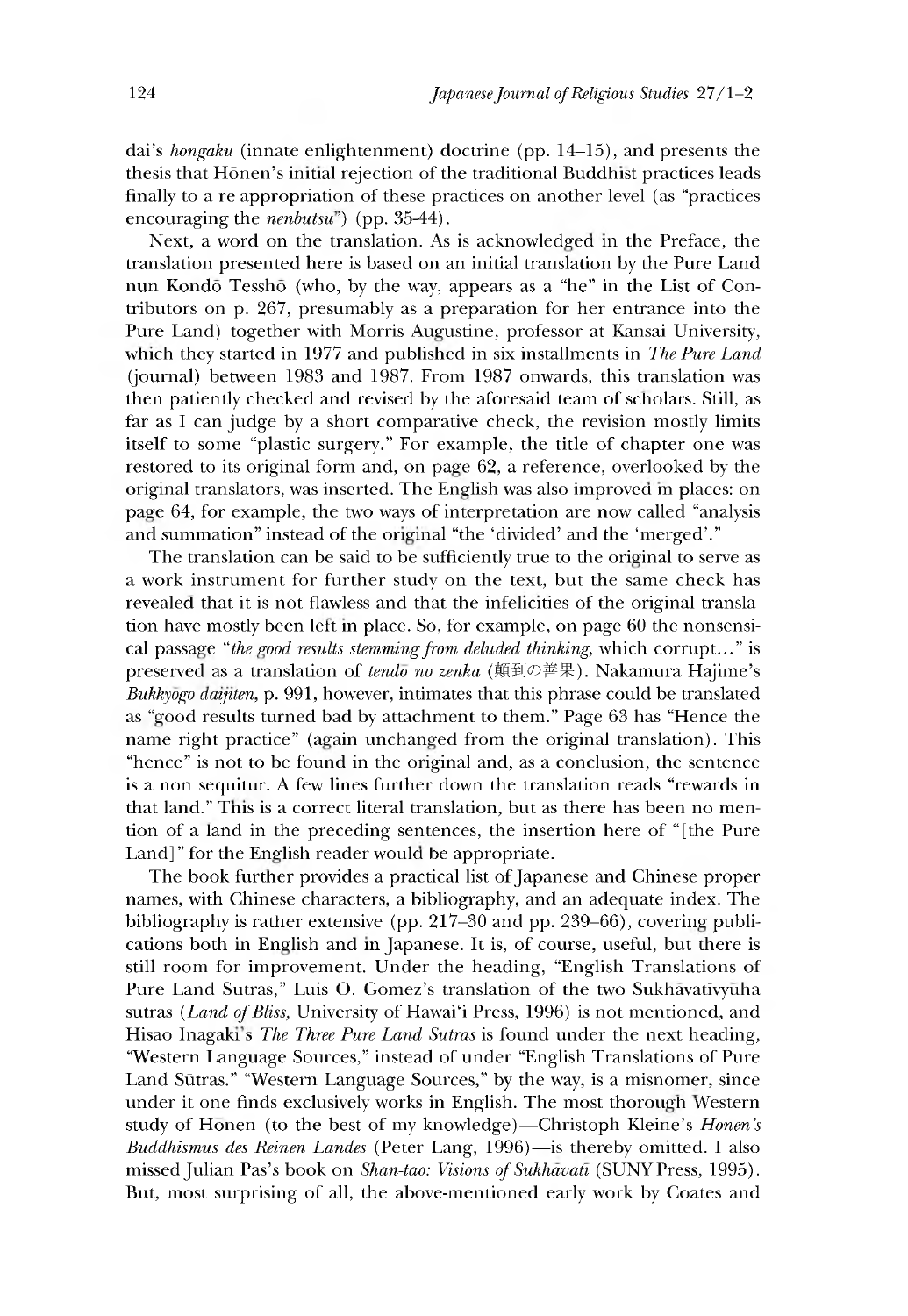dai's *hongaku* (innate enlightenment) doctrine (pp. 14–15), and presents the thesis that Hōnen's initial rejection of the traditional Buddhist practices leads finally to a re-appropriation of these practices on another level (as "practices encouraging the *nenbutsu')* (pp. 35-44).

Next, a word on the translation. As is acknowledged in the Preface, the translation presented here is based on an initial translation by the Pure Land nun Kondo Tesshō (who, by the way, appears as a "he" in the List of Contributors on p. 267, presumably as a preparation for her entrance into the Pure Land) together with Morris Augustine, professor at Kansai University, which they started in 1977 and published in six installments in *The Pure Land* (journal) between 1983 and 1987. From 1987 onwards, this translation was then patiently checked and revised by the aforesaid team of scholars. Still, as far as I can judge by a short comparative check, the revision mostly limits itself to some "plastic surgery." For example, the title of chapter one was restored to its original form and, on page 62, a reference, overlooked by the original translators, was inserted. The English was also improved in places: on page 64, for example, the two ways of interpretation are now called "analysis and summation" instead of the original "the 'divided' and the 'merged'."

The translation can be said to be sufficiently true to the original to serve as a work instrument for further study on the text, but the same check has revealed that it is not flawless and that the infelicities of the original translation have mostly been lett in place. So, for example, on page 60 the nonsensical passage *"the gvod results stemming from deluded thinking,* which corrupt..." is preserved as a translation of *tendo no zenka* (顛到の善果). Nakamura Hajime's *Bukkyogo aaijiten,* p. 991 however, intimates that this phrase could be translated as "good results turned bad by attachment to them." Page 63 has "Hence the name right practice" (again unchanged from the original translation). This "hence" is not to be found in the original and, as a conclusion, the sentence is a non sequitur. A few lines further down the translation reads "rewards in that land." This is a correct literal translation, but as there has been no mention of a land in the preceding sentences, the insertion here of "[the Pure Land]" for the English reader would be appropriate.

The book further provides a practical list of Japanese and Chinese proper names, with Chinese characters, a bibliography, and an adequate index. The bibliography is rather extensive (pp. 217-30 and pp. 239-66), covering publications both in English and in Japanese. It is, of course, useful, but there is still room for improvement. Under the heading, "English Translations of Pure Land Sutras," Luis O. Gomez's translation of the two Sukhavativyuha sutras *(Land of Bliss,* University of Hawai'i Press, 1996) is not mentioned, and Hisao Inagaki's *The Three Pure Land Sutras* is found under the next heading, "Western Language Sources," instead of under "English Translations of Pure Land Sūtras." "Western Language Sources," by the way, is a misnomer, since under it one finds exclusively works in English. The most thorough Western study of Honen (to the best of my knowledge)—Christoph Kleine's *Honen's Buddhismus des Reinen Landes* (Peter Lang, 1996)—is thereby omitted. I also missed Julian Pas's book on *Shan-tao: Visions of Sukhavaft* (SUNY Press, 1995). But, most surprising of all, the above-mentioned early work by Coates and